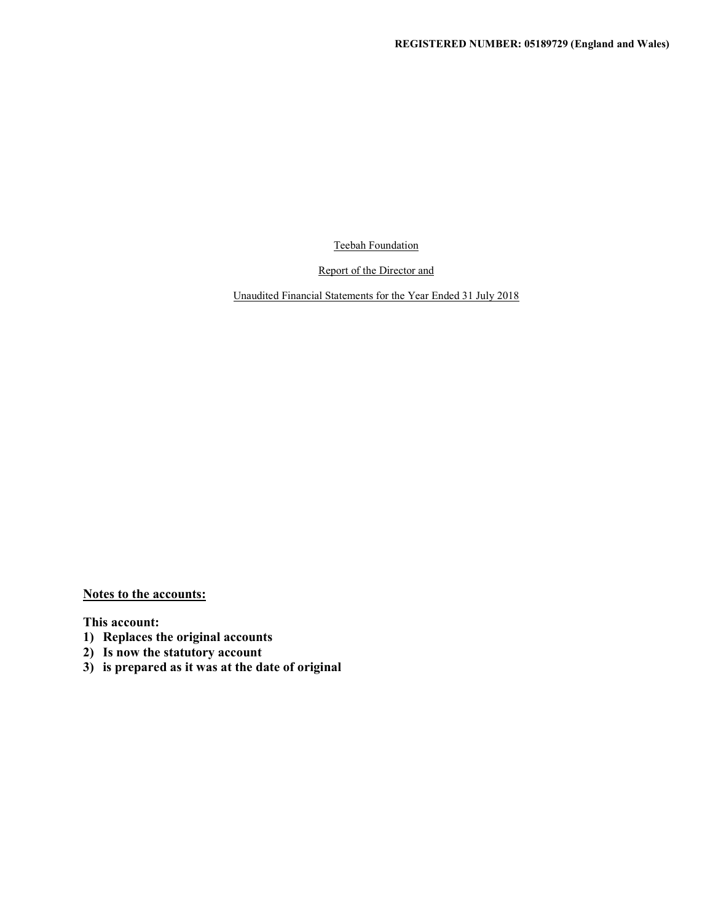Report of the Director and

Unaudited Financial Statements for the Year Ended 31 July 2018

Notes to the accounts:

This account:

- 1) Replaces the original accounts
- 2) Is now the statutory account
- 3) is prepared as it was at the date of original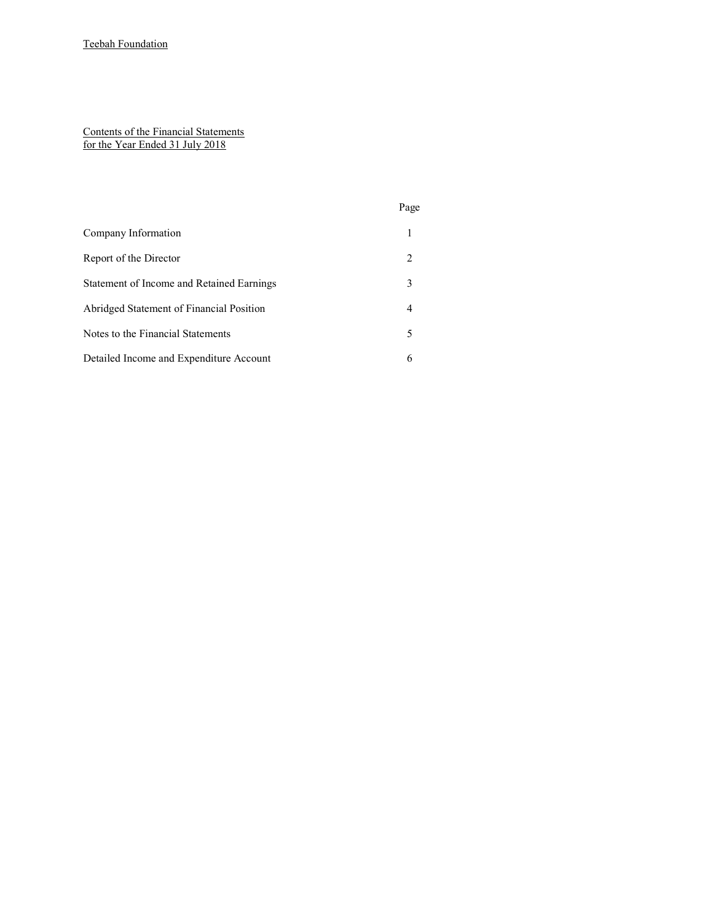#### Contents of the Financial Statements for the Year Ended 31 July 2018

|                                           | Page |
|-------------------------------------------|------|
| Company Information                       |      |
| Report of the Director                    | 2    |
| Statement of Income and Retained Earnings | 3    |
| Abridged Statement of Financial Position  | 4    |
| Notes to the Financial Statements         | 5    |
| Detailed Income and Expenditure Account   | 6    |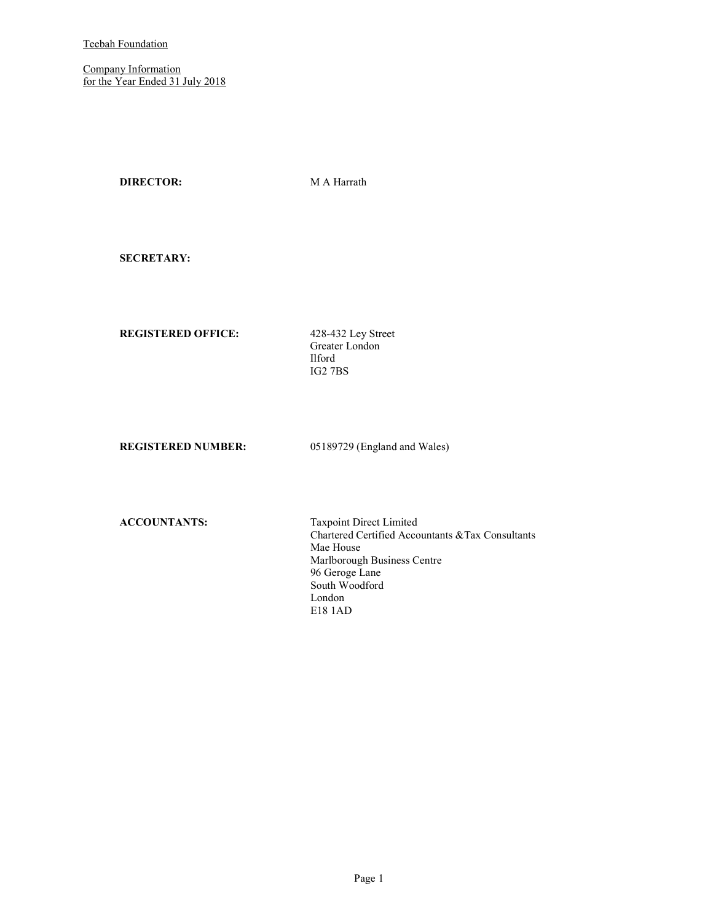Company Information for the Year Ended 31 July 2018

DIRECTOR: M A Harrath

SECRETARY:

REGISTERED OFFICE: 428-432 Ley Street

 Greater London Ilford IG2 7BS

REGISTERED NUMBER: 05189729 (England and Wales)

ACCOUNTANTS: Taxpoint Direct Limited Chartered Certified Accountants &Tax Consultants Mae House Marlborough Business Centre 96 Geroge Lane South Woodford London E18 1AD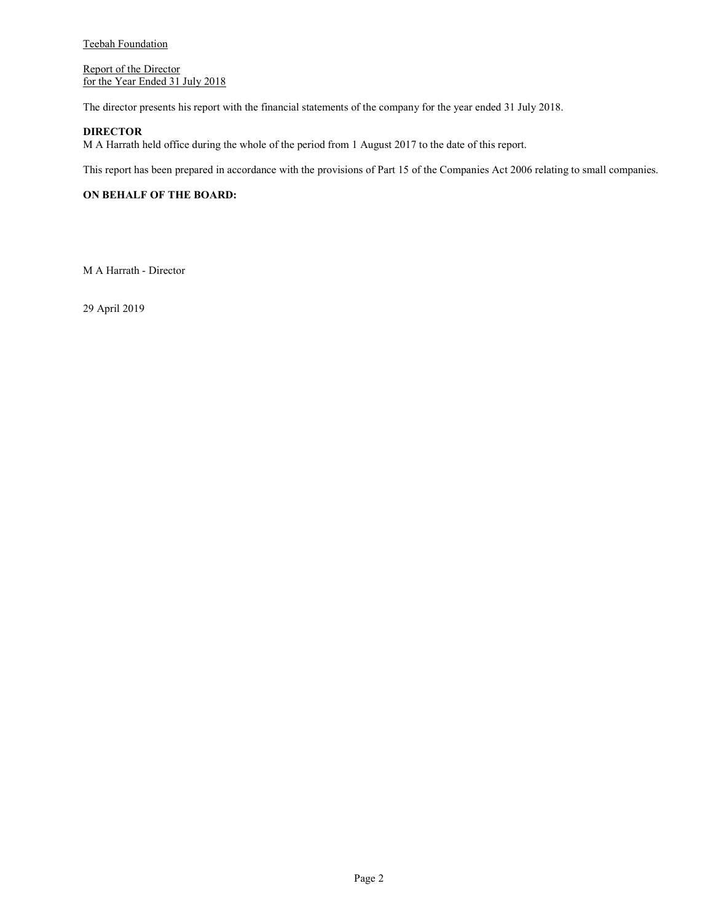Report of the Director for the Year Ended 31 July 2018

The director presents his report with the financial statements of the company for the year ended 31 July 2018.

# DIRECTOR

M A Harrath held office during the whole of the period from 1 August 2017 to the date of this report.

This report has been prepared in accordance with the provisions of Part 15 of the Companies Act 2006 relating to small companies.

# ON BEHALF OF THE BOARD:

M A Harrath - Director

29 April 2019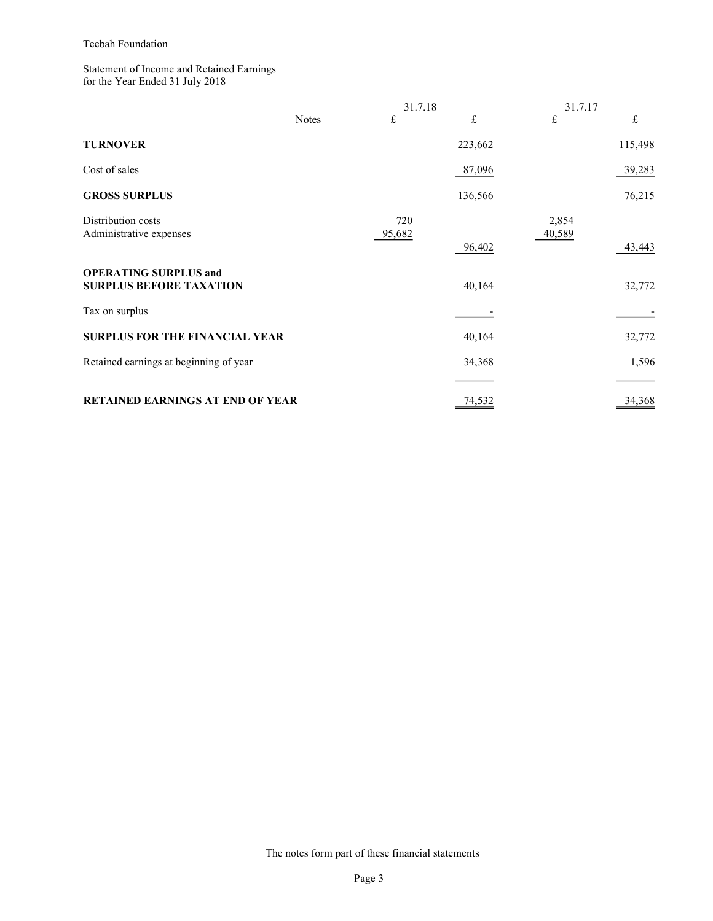### Statement of Income and Retained Earnings for the Year Ended 31 July 2018

|                                                                |              | 31.7.18       |         | 31.7.17         |         |
|----------------------------------------------------------------|--------------|---------------|---------|-----------------|---------|
|                                                                | <b>Notes</b> | $\pounds$     | £       | $\pounds$       | £       |
| <b>TURNOVER</b>                                                |              |               | 223,662 |                 | 115,498 |
| Cost of sales                                                  |              |               | 87,096  |                 | 39,283  |
| <b>GROSS SURPLUS</b>                                           |              |               | 136,566 |                 | 76,215  |
| Distribution costs<br>Administrative expenses                  |              | 720<br>95,682 |         | 2,854<br>40,589 |         |
|                                                                |              |               | 96,402  |                 | 43,443  |
| <b>OPERATING SURPLUS and</b><br><b>SURPLUS BEFORE TAXATION</b> |              |               | 40,164  |                 | 32,772  |
| Tax on surplus                                                 |              |               |         |                 |         |
| <b>SURPLUS FOR THE FINANCIAL YEAR</b>                          |              |               | 40,164  |                 | 32,772  |
| Retained earnings at beginning of year                         |              |               | 34,368  |                 | 1,596   |
| <b>RETAINED EARNINGS AT END OF YEAR</b>                        |              |               | 74,532  |                 | 34,368  |

The notes form part of these financial statements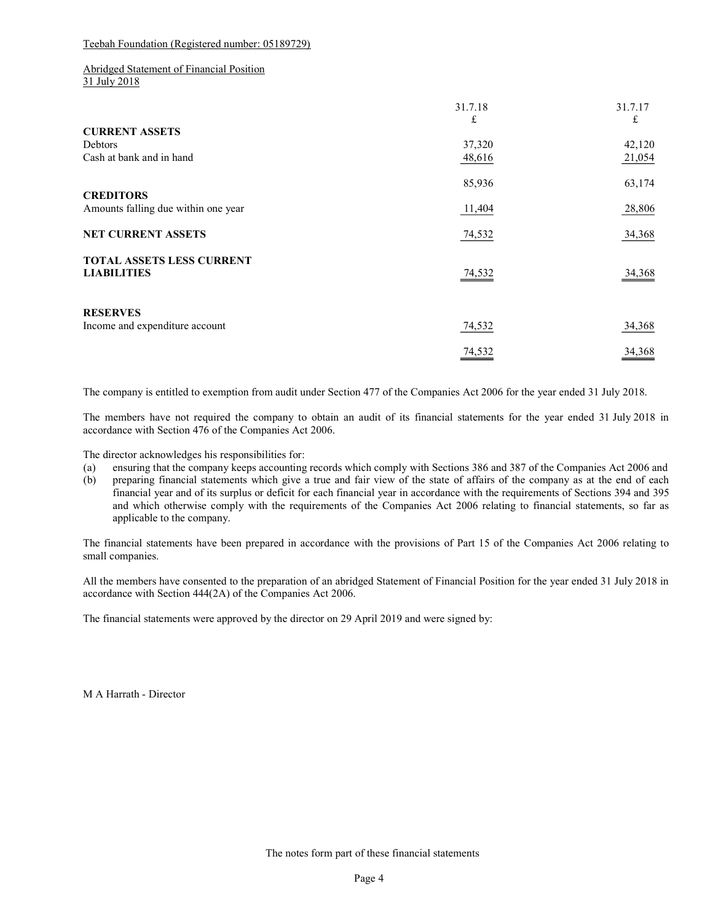Teebah Foundation (Registered number: 05189729)

# Abridged Statement of Financial Position

31 July 2018

|                                     | 31.7.18 | 31.7.17 |
|-------------------------------------|---------|---------|
|                                     | £       | £       |
| <b>CURRENT ASSETS</b>               |         |         |
| Debtors                             | 37,320  | 42,120  |
| Cash at bank and in hand            | 48,616  | 21,054  |
|                                     | 85,936  | 63,174  |
| <b>CREDITORS</b>                    |         |         |
| Amounts falling due within one year | 11,404  | 28,806  |
| <b>NET CURRENT ASSETS</b>           | 74,532  | 34,368  |
| <b>TOTAL ASSETS LESS CURRENT</b>    |         |         |
| <b>LIABILITIES</b>                  | 74,532  | 34,368  |
|                                     |         |         |
| <b>RESERVES</b>                     |         |         |
| Income and expenditure account      | 74,532  | 34,368  |
|                                     | 74,532  | 34,368  |

The company is entitled to exemption from audit under Section 477 of the Companies Act 2006 for the year ended 31 July 2018.

The members have not required the company to obtain an audit of its financial statements for the year ended 31 July 2018 in accordance with Section 476 of the Companies Act 2006.

The director acknowledges his responsibilities for:

- (a) ensuring that the company keeps accounting records which comply with Sections 386 and 387 of the Companies Act 2006 and
- (b) preparing financial statements which give a true and fair view of the state of affairs of the company as at the end of each financial year and of its surplus or deficit for each financial year in accordance with the requirements of Sections 394 and 395 and which otherwise comply with the requirements of the Companies Act 2006 relating to financial statements, so far as applicable to the company.

The financial statements have been prepared in accordance with the provisions of Part 15 of the Companies Act 2006 relating to small companies.

All the members have consented to the preparation of an abridged Statement of Financial Position for the year ended 31 July 2018 in accordance with Section 444(2A) of the Companies Act 2006.

The financial statements were approved by the director on 29 April 2019 and were signed by:

M A Harrath - Director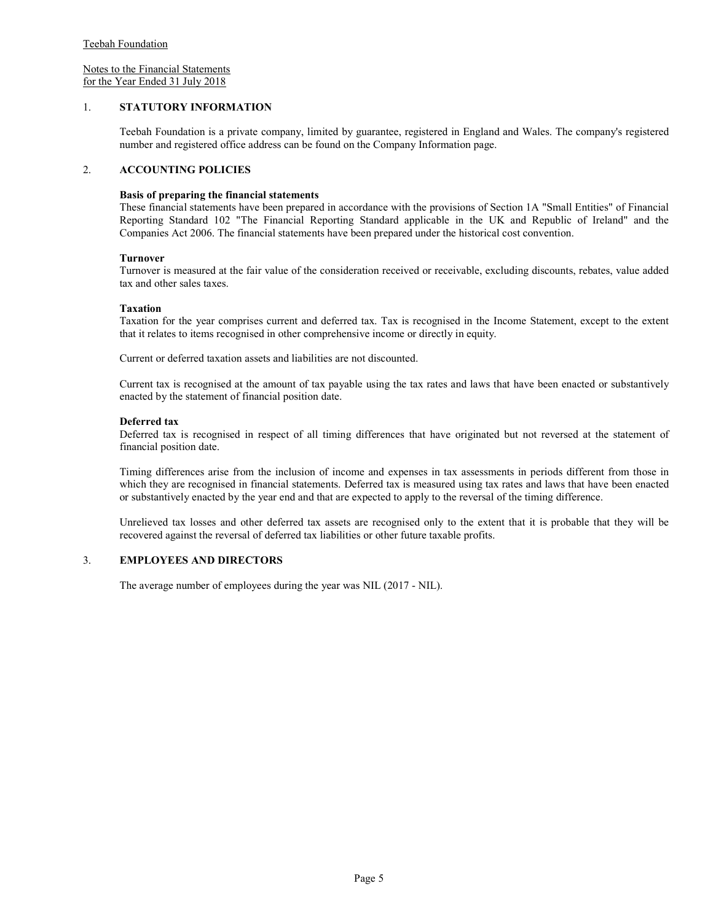Notes to the Financial Statements for the Year Ended 31 July 2018

## 1. STATUTORY INFORMATION

Teebah Foundation is a private company, limited by guarantee, registered in England and Wales. The company's registered number and registered office address can be found on the Company Information page.

### 2. ACCOUNTING POLICIES

#### Basis of preparing the financial statements

These financial statements have been prepared in accordance with the provisions of Section 1A "Small Entities" of Financial Reporting Standard 102 "The Financial Reporting Standard applicable in the UK and Republic of Ireland" and the Companies Act 2006. The financial statements have been prepared under the historical cost convention.

#### Turnover

Turnover is measured at the fair value of the consideration received or receivable, excluding discounts, rebates, value added tax and other sales taxes.

#### Taxation

Taxation for the year comprises current and deferred tax. Tax is recognised in the Income Statement, except to the extent that it relates to items recognised in other comprehensive income or directly in equity.

Current or deferred taxation assets and liabilities are not discounted.

Current tax is recognised at the amount of tax payable using the tax rates and laws that have been enacted or substantively enacted by the statement of financial position date.

#### Deferred tax

Deferred tax is recognised in respect of all timing differences that have originated but not reversed at the statement of financial position date.

Timing differences arise from the inclusion of income and expenses in tax assessments in periods different from those in which they are recognised in financial statements. Deferred tax is measured using tax rates and laws that have been enacted or substantively enacted by the year end and that are expected to apply to the reversal of the timing difference.

Unrelieved tax losses and other deferred tax assets are recognised only to the extent that it is probable that they will be recovered against the reversal of deferred tax liabilities or other future taxable profits.

#### 3. EMPLOYEES AND DIRECTORS

The average number of employees during the year was NIL (2017 - NIL).